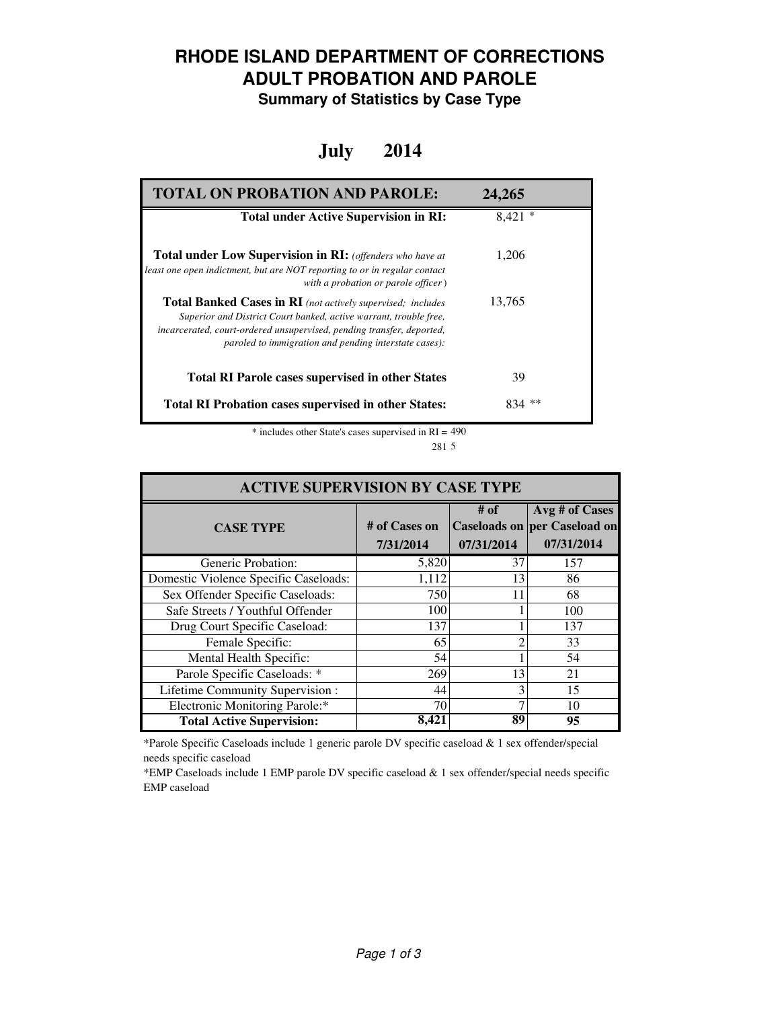## **RHODE ISLAND DEPARTMENT OF CORRECTIONS ADULT PROBATION AND PAROLE**

**Summary of Statistics by Case Type**

#### **July 2014**

| <b>TOTAL ON PROBATION AND PAROLE:</b>                                                                                                                                                                                                                                     | 24,265   |
|---------------------------------------------------------------------------------------------------------------------------------------------------------------------------------------------------------------------------------------------------------------------------|----------|
| <b>Total under Active Supervision in RI:</b>                                                                                                                                                                                                                              | $8,421*$ |
| <b>Total under Low Supervision in RI:</b> (offenders who have at<br>least one open indictment, but are NOT reporting to or in regular contact<br>with a probation or parole officer)                                                                                      | 1.206    |
| <b>Total Banked Cases in RI</b> (not actively supervised; includes<br>Superior and District Court banked, active warrant, trouble free,<br>incarcerated, court-ordered unsupervised, pending transfer, deported,<br>paroled to immigration and pending interstate cases): | 13,765   |
| <b>Total RI Parole cases supervised in other States</b>                                                                                                                                                                                                                   | 39       |
| <b>Total RI Probation cases supervised in other States:</b>                                                                                                                                                                                                               | **       |

\* includes other State's cases supervised in RI = 490 5 281

| <b>ACTIVE SUPERVISION BY CASE TYPE</b> |                            |                    |                                                                     |  |
|----------------------------------------|----------------------------|--------------------|---------------------------------------------------------------------|--|
| <b>CASE TYPE</b>                       | # of Cases on<br>7/31/2014 | # of<br>07/31/2014 | Avg # of Cases<br><b>Caseloads on per Caseload on</b><br>07/31/2014 |  |
| Generic Probation:                     | 5,820                      | 37                 | 157                                                                 |  |
| Domestic Violence Specific Caseloads:  | 1,112                      | 13                 | 86                                                                  |  |
| Sex Offender Specific Caseloads:       | 750                        | 11                 | 68                                                                  |  |
| Safe Streets / Youthful Offender       | 100                        |                    | 100                                                                 |  |
| Drug Court Specific Caseload:          | 137                        |                    | 137                                                                 |  |
| Female Specific:                       | 65                         |                    | 33                                                                  |  |
| Mental Health Specific:                | 54                         |                    | 54                                                                  |  |
| Parole Specific Caseloads: *           | 269                        | 13                 | 21                                                                  |  |
| Lifetime Community Supervision:        | 44                         |                    | 15                                                                  |  |
| Electronic Monitoring Parole:*         | 70                         |                    | 10                                                                  |  |
| <b>Total Active Supervision:</b>       | 8.421                      | 89                 | 95                                                                  |  |

\*Parole Specific Caseloads include 1 generic parole DV specific caseload & 1 sex offender/special needs specific caseload

\*EMP Caseloads include 1 EMP parole DV specific caseload & 1 sex offender/special needs specific EMP caseload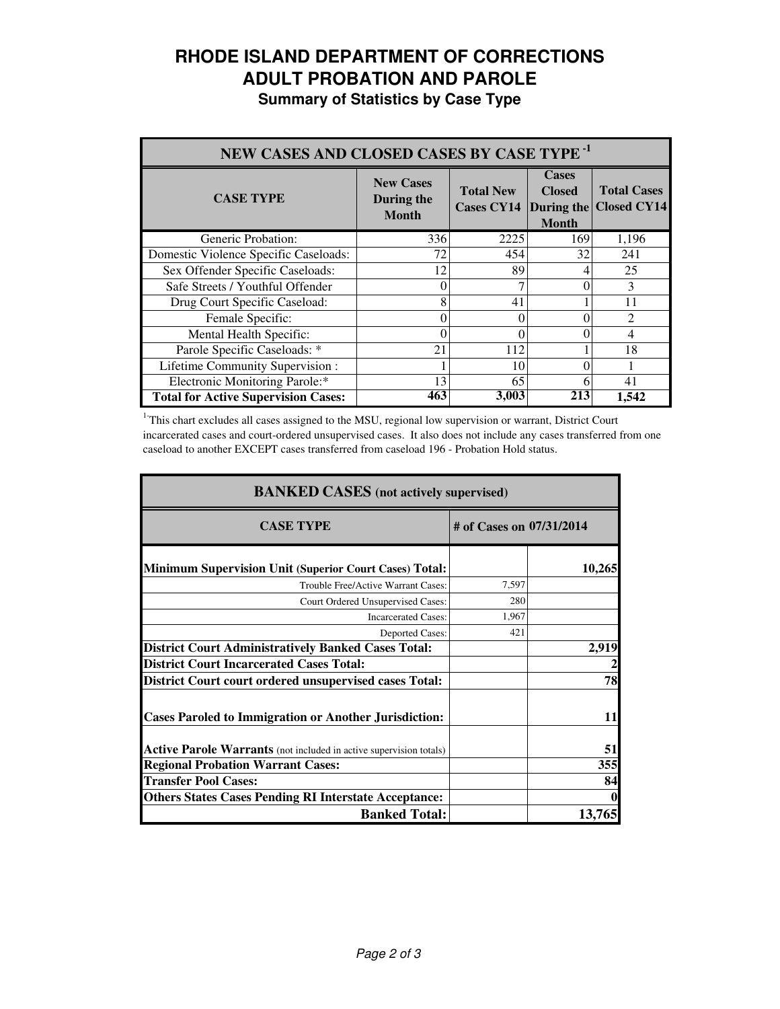# **RHODE ISLAND DEPARTMENT OF CORRECTIONS ADULT PROBATION AND PAROLE**

|  |  | <b>Summary of Statistics by Case Type</b> |  |  |  |
|--|--|-------------------------------------------|--|--|--|
|--|--|-------------------------------------------|--|--|--|

| NEW CASES AND CLOSED CASES BY CASE TYPE <sup>-1</sup> |                                                |                                                  |                                               |                                          |
|-------------------------------------------------------|------------------------------------------------|--------------------------------------------------|-----------------------------------------------|------------------------------------------|
| <b>CASE TYPE</b>                                      | <b>New Cases</b><br>During the<br><b>Month</b> | <b>Total New</b><br><b>Cases CY14</b> During the | <b>Cases</b><br><b>Closed</b><br><b>Month</b> | <b>Total Cases</b><br><b>Closed CY14</b> |
| Generic Probation:                                    | 336                                            | 2225                                             | 169                                           | 1,196                                    |
| Domestic Violence Specific Caseloads:                 | 72                                             | 454                                              | 32                                            | 241                                      |
| Sex Offender Specific Caseloads:                      | 12                                             | 89                                               |                                               | 25                                       |
| Safe Streets / Youthful Offender                      | 0                                              |                                                  |                                               | 3                                        |
| Drug Court Specific Caseload:                         | 8                                              | 41                                               |                                               | 11                                       |
| Female Specific:                                      | $\theta$                                       | 0                                                |                                               | $\mathfrak{D}$                           |
| Mental Health Specific:                               | $\Omega$                                       | 0                                                |                                               | 4                                        |
| Parole Specific Caseloads: *                          | 21                                             | 112                                              |                                               | 18                                       |
| Lifetime Community Supervision :                      |                                                | 10                                               |                                               |                                          |
| Electronic Monitoring Parole:*                        | 13                                             | 65                                               | 6                                             | 41                                       |
| <b>Total for Active Supervision Cases:</b>            | 463                                            | 3,003                                            | 213                                           | 1,542                                    |

<sup>1</sup>This chart excludes all cases assigned to the MSU, regional low supervision or warrant, District Court incarcerated cases and court-ordered unsupervised cases. It also does not include any cases transferred from one caseload to another EXCEPT cases transferred from caseload 196 - Probation Hold status.

| <b>BANKED CASES</b> (not actively supervised)                             |                          |        |  |
|---------------------------------------------------------------------------|--------------------------|--------|--|
| <b>CASE TYPE</b>                                                          | # of Cases on 07/31/2014 |        |  |
| <b>Minimum Supervision Unit (Superior Court Cases) Total:</b>             |                          | 10,265 |  |
| Trouble Free/Active Warrant Cases:                                        | 7,597                    |        |  |
| Court Ordered Unsupervised Cases:                                         | 280                      |        |  |
| <b>Incarcerated Cases:</b>                                                | 1,967                    |        |  |
| <b>Deported Cases:</b>                                                    | 421                      |        |  |
| <b>District Court Administratively Banked Cases Total:</b>                |                          | 2,919  |  |
| <b>District Court Incarcerated Cases Total:</b>                           |                          |        |  |
| <b>District Court court ordered unsupervised cases Total:</b>             |                          | 78     |  |
| <b>Cases Paroled to Immigration or Another Jurisdiction:</b>              |                          | 11     |  |
| <b>Active Parole Warrants</b> (not included in active supervision totals) |                          | 51     |  |
| <b>Regional Probation Warrant Cases:</b>                                  |                          | 355    |  |
| <b>Transfer Pool Cases:</b>                                               |                          | 84     |  |
| <b>Others States Cases Pending RI Interstate Acceptance:</b>              |                          |        |  |
| <b>Banked Total:</b>                                                      |                          | 13,765 |  |